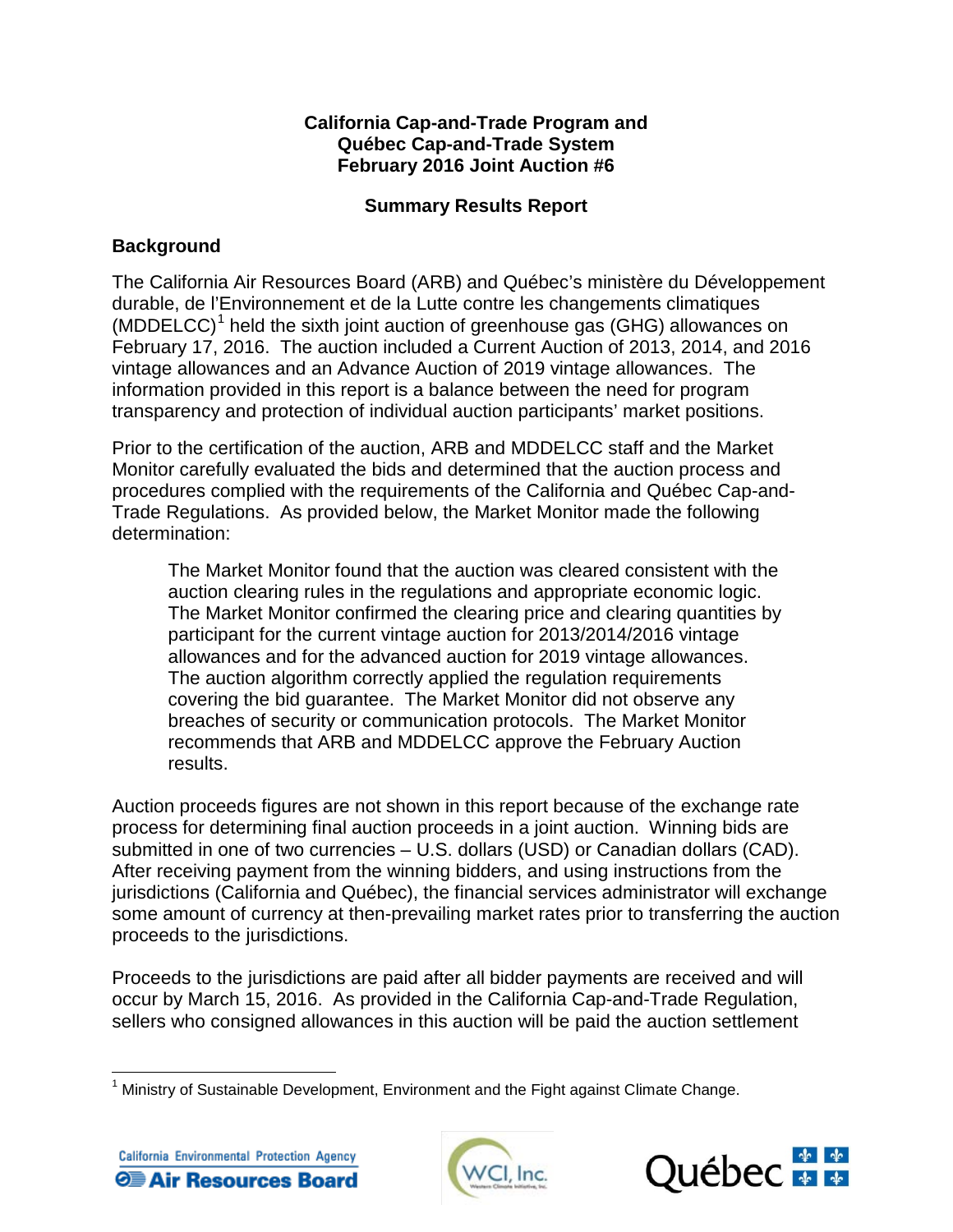## **California Cap-and-Trade Program and Québec Cap-and-Trade System February 2016 Joint Auction #6**

# **Summary Results Report**

# **Background**

The California Air Resources Board (ARB) and Québec's ministère du Développement durable, de l'Environnement et de la Lutte contre les changements climatiques (MDDELCC)<sup>[1](#page-0-0)</sup> held the sixth joint auction of greenhouse gas (GHG) allowances on February 17, 2016. The auction included a Current Auction of 2013, 2014, and 2016 vintage allowances and an Advance Auction of 2019 vintage allowances. The information provided in this report is a balance between the need for program transparency and protection of individual auction participants' market positions.

Prior to the certification of the auction, ARB and MDDELCC staff and the Market Monitor carefully evaluated the bids and determined that the auction process and procedures complied with the requirements of the California and Québec Cap-and-Trade Regulations. As provided below, the Market Monitor made the following determination:

The Market Monitor found that the auction was cleared consistent with the auction clearing rules in the regulations and appropriate economic logic. The Market Monitor confirmed the clearing price and clearing quantities by participant for the current vintage auction for 2013/2014/2016 vintage allowances and for the advanced auction for 2019 vintage allowances. The auction algorithm correctly applied the regulation requirements covering the bid guarantee. The Market Monitor did not observe any breaches of security or communication protocols. The Market Monitor recommends that ARB and MDDELCC approve the February Auction results.

Auction proceeds figures are not shown in this report because of the exchange rate process for determining final auction proceeds in a joint auction. Winning bids are submitted in one of two currencies – U.S. dollars (USD) or Canadian dollars (CAD). After receiving payment from the winning bidders, and using instructions from the jurisdictions (California and Québec), the financial services administrator will exchange some amount of currency at then-prevailing market rates prior to transferring the auction proceeds to the jurisdictions.

Proceeds to the jurisdictions are paid after all bidder payments are received and will occur by March 15, 2016. As provided in the California Cap-and-Trade Regulation, sellers who consigned allowances in this auction will be paid the auction settlement

<span id="page-0-0"></span> $1$  Ministry of Sustainable Development, Environment and the Fight against Climate Change.  $\overline{\phantom{a}}$ 





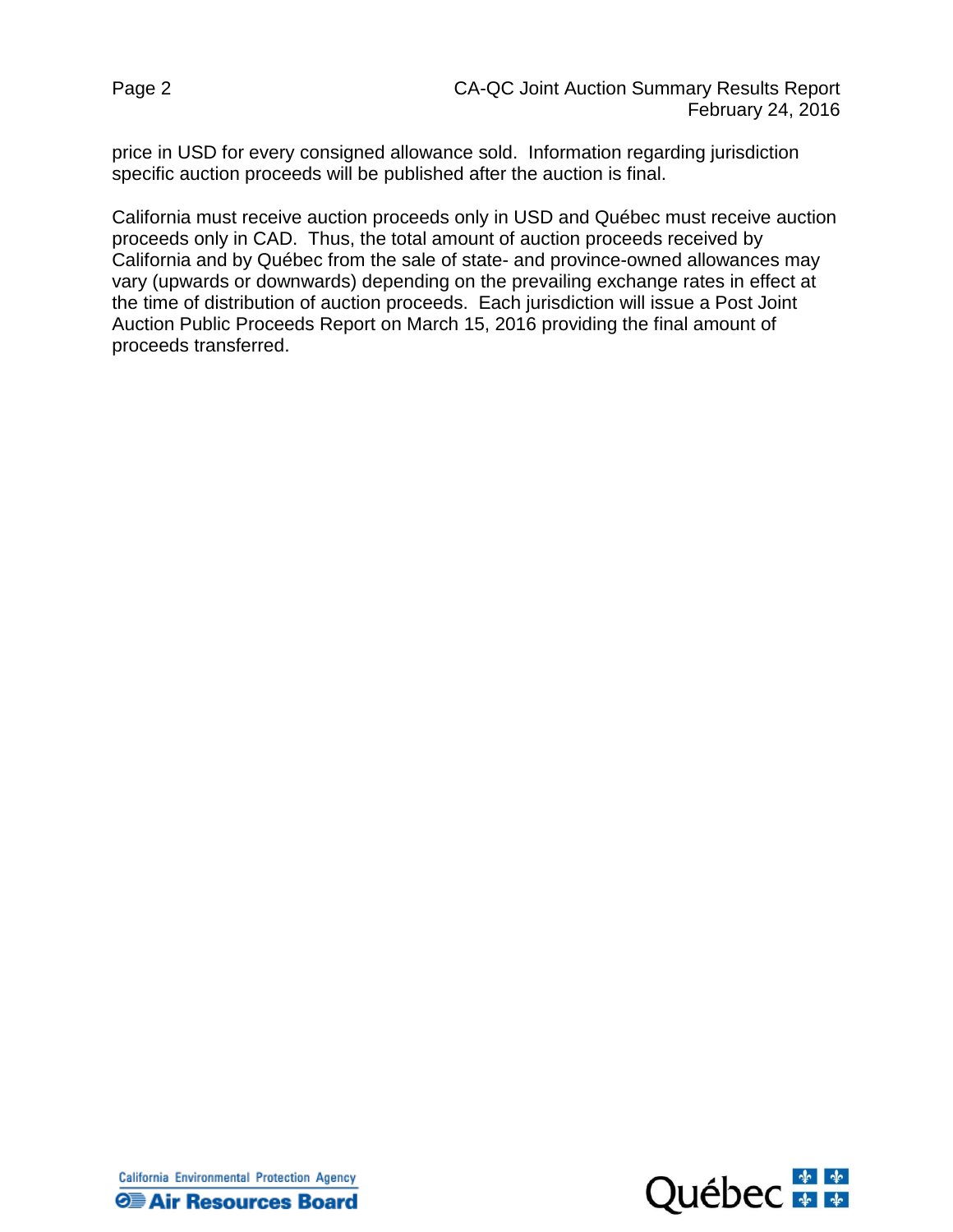price in USD for every consigned allowance sold. Information regarding jurisdiction specific auction proceeds will be published after the auction is final.

California must receive auction proceeds only in USD and Québec must receive auction proceeds only in CAD. Thus, the total amount of auction proceeds received by California and by Québec from the sale of state- and province-owned allowances may vary (upwards or downwards) depending on the prevailing exchange rates in effect at the time of distribution of auction proceeds. Each jurisdiction will issue a Post Joint Auction Public Proceeds Report on March 15, 2016 providing the final amount of proceeds transferred.



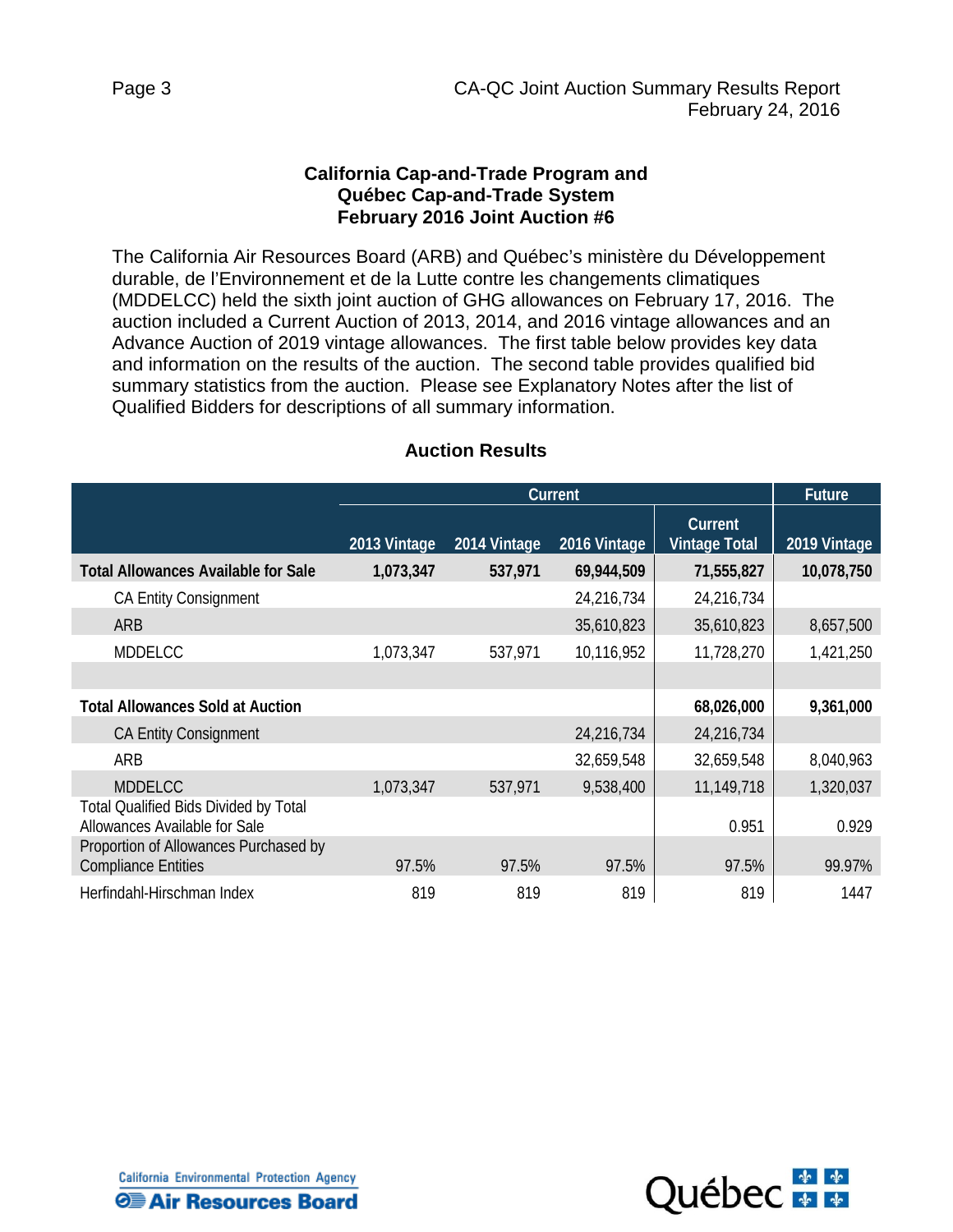### **California Cap-and-Trade Program and Québec Cap-and-Trade System February 2016 Joint Auction #6**

The California Air Resources Board (ARB) and Québec's ministère du Développement durable, de l'Environnement et de la Lutte contre les changements climatiques (MDDELCC) held the sixth joint auction of GHG allowances on February 17, 2016. The auction included a Current Auction of 2013, 2014, and 2016 vintage allowances and an Advance Auction of 2019 vintage allowances. The first table below provides key data and information on the results of the auction. The second table provides qualified bid summary statistics from the auction. Please see Explanatory Notes after the list of Qualified Bidders for descriptions of all summary information.

|                                                                               | Current      |              |              | <b>Future</b>                   |              |
|-------------------------------------------------------------------------------|--------------|--------------|--------------|---------------------------------|--------------|
|                                                                               | 2013 Vintage | 2014 Vintage | 2016 Vintage | Current<br><b>Vintage Total</b> | 2019 Vintage |
| <b>Total Allowances Available for Sale</b>                                    | 1,073,347    | 537,971      | 69,944,509   | 71,555,827                      | 10,078,750   |
| <b>CA Entity Consignment</b>                                                  |              |              | 24,216,734   | 24,216,734                      |              |
| <b>ARB</b>                                                                    |              |              | 35,610,823   | 35,610,823                      | 8,657,500    |
| <b>MDDELCC</b>                                                                | 1,073,347    | 537,971      | 10,116,952   | 11,728,270                      | 1,421,250    |
|                                                                               |              |              |              |                                 |              |
| <b>Total Allowances Sold at Auction</b>                                       |              |              |              | 68,026,000                      | 9,361,000    |
| <b>CA Entity Consignment</b>                                                  |              |              | 24,216,734   | 24,216,734                      |              |
| ARB                                                                           |              |              | 32,659,548   | 32,659,548                      | 8,040,963    |
| <b>MDDELCC</b>                                                                | 1,073,347    | 537,971      | 9,538,400    | 11,149,718                      | 1,320,037    |
| <b>Total Qualified Bids Divided by Total</b><br>Allowances Available for Sale |              |              |              | 0.951                           | 0.929        |
| Proportion of Allowances Purchased by<br><b>Compliance Entities</b>           | 97.5%        | 97.5%        | 97.5%        | 97.5%                           | 99.97%       |
| Herfindahl-Hirschman Index                                                    | 819          | 819          | 819          | 819                             | 1447         |

#### **Auction Results**

California Environmental Protection Agency **Θ≣ Air Resources Board** 

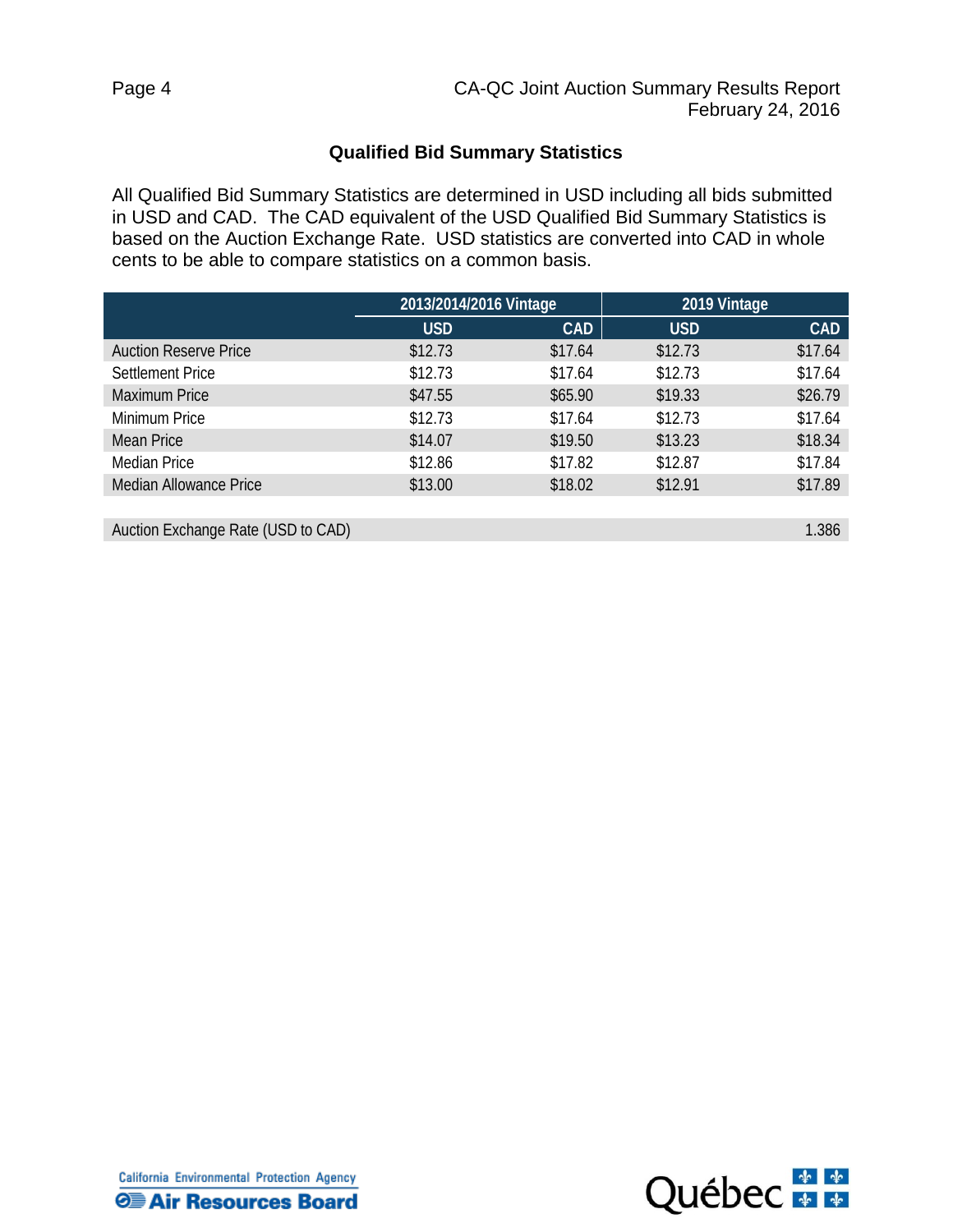## **Qualified Bid Summary Statistics**

All Qualified Bid Summary Statistics are determined in USD including all bids submitted in USD and CAD. The CAD equivalent of the USD Qualified Bid Summary Statistics is based on the Auction Exchange Rate. USD statistics are converted into CAD in whole cents to be able to compare statistics on a common basis.

| 2013/2014/2016 Vintage |            | 2019 Vintage |            |
|------------------------|------------|--------------|------------|
| <b>USD</b>             | <b>CAD</b> | <b>USD</b>   | <b>CAD</b> |
| \$12.73                | \$17.64    | \$12.73      | \$17.64    |
| \$12.73                | \$17.64    | \$12.73      | \$17.64    |
| \$47.55                | \$65.90    | \$19.33      | \$26.79    |
| \$12.73                | \$17.64    | \$12.73      | \$17.64    |
| \$14.07                | \$19.50    | \$13.23      | \$18.34    |
| \$12.86                | \$17.82    | \$12.87      | \$17.84    |
| \$13.00                | \$18.02    | \$12.91      | \$17.89    |
|                        |            |              |            |

Auction Exchange Rate (USD to CAD) 2.386

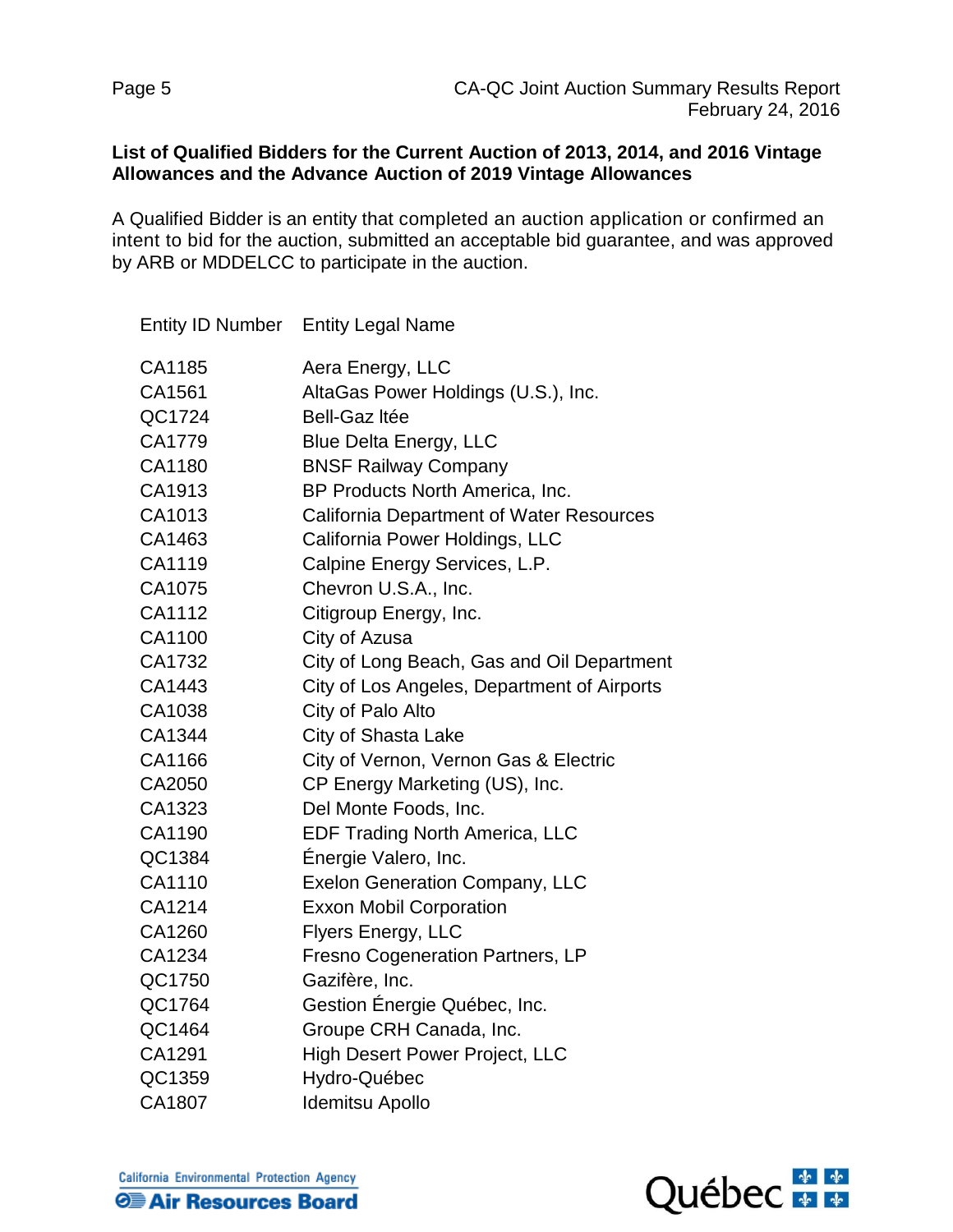## **List of Qualified Bidders for the Current Auction of 2013, 2014, and 2016 Vintage Allowances and the Advance Auction of 2019 Vintage Allowances**

A Qualified Bidder is an entity that completed an auction application or confirmed an intent to bid for the auction, submitted an acceptable bid guarantee, and was approved by ARB or MDDELCC to participate in the auction.

|        | Entity ID Number Entity Legal Name              |
|--------|-------------------------------------------------|
| CA1185 | Aera Energy, LLC                                |
| CA1561 | AltaGas Power Holdings (U.S.), Inc.             |
| QC1724 | <b>Bell-Gaz Itée</b>                            |
| CA1779 | <b>Blue Delta Energy, LLC</b>                   |
| CA1180 | <b>BNSF Railway Company</b>                     |
| CA1913 | BP Products North America, Inc.                 |
| CA1013 | <b>California Department of Water Resources</b> |
| CA1463 | California Power Holdings, LLC                  |
| CA1119 | Calpine Energy Services, L.P.                   |
| CA1075 | Chevron U.S.A., Inc.                            |
| CA1112 | Citigroup Energy, Inc.                          |
| CA1100 | City of Azusa                                   |
| CA1732 | City of Long Beach, Gas and Oil Department      |
| CA1443 | City of Los Angeles, Department of Airports     |
| CA1038 | City of Palo Alto                               |
| CA1344 | City of Shasta Lake                             |
| CA1166 | City of Vernon, Vernon Gas & Electric           |
| CA2050 | CP Energy Marketing (US), Inc.                  |
| CA1323 | Del Monte Foods, Inc.                           |
| CA1190 | <b>EDF Trading North America, LLC</b>           |
| QC1384 | Énergie Valero, Inc.                            |
| CA1110 | <b>Exelon Generation Company, LLC</b>           |
| CA1214 | <b>Exxon Mobil Corporation</b>                  |
| CA1260 | Flyers Energy, LLC                              |
| CA1234 | <b>Fresno Cogeneration Partners, LP</b>         |
| QC1750 | Gazifère, Inc.                                  |
| QC1764 | Gestion Énergie Québec, Inc.                    |
| QC1464 | Groupe CRH Canada, Inc.                         |
| CA1291 | <b>High Desert Power Project, LLC</b>           |
| QC1359 | Hydro-Québec                                    |
| CA1807 | Idemitsu Apollo                                 |

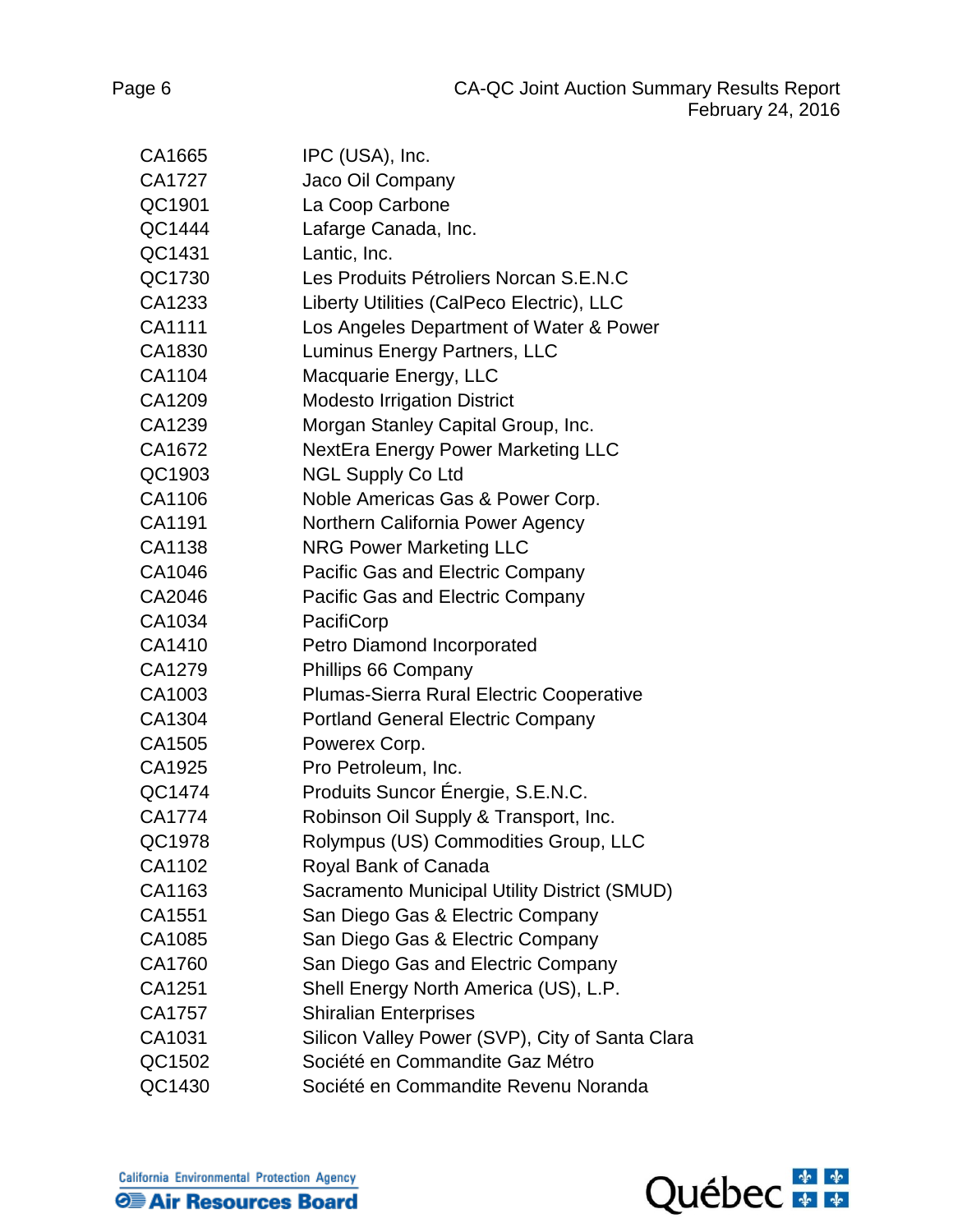| CA1665 | IPC (USA), Inc.                                 |
|--------|-------------------------------------------------|
| CA1727 | Jaco Oil Company                                |
| QC1901 | La Coop Carbone                                 |
| QC1444 | Lafarge Canada, Inc.                            |
| QC1431 | Lantic, Inc.                                    |
| QC1730 | Les Produits Pétroliers Norcan S.E.N.C          |
| CA1233 | Liberty Utilities (CalPeco Electric), LLC       |
| CA1111 | Los Angeles Department of Water & Power         |
| CA1830 | Luminus Energy Partners, LLC                    |
| CA1104 | Macquarie Energy, LLC                           |
| CA1209 | <b>Modesto Irrigation District</b>              |
| CA1239 | Morgan Stanley Capital Group, Inc.              |
| CA1672 | <b>NextEra Energy Power Marketing LLC</b>       |
| QC1903 | <b>NGL Supply Co Ltd</b>                        |
| CA1106 | Noble Americas Gas & Power Corp.                |
| CA1191 | Northern California Power Agency                |
| CA1138 | <b>NRG Power Marketing LLC</b>                  |
| CA1046 | Pacific Gas and Electric Company                |
| CA2046 | Pacific Gas and Electric Company                |
| CA1034 | PacifiCorp                                      |
| CA1410 | Petro Diamond Incorporated                      |
| CA1279 | Phillips 66 Company                             |
| CA1003 | Plumas-Sierra Rural Electric Cooperative        |
| CA1304 | <b>Portland General Electric Company</b>        |
| CA1505 | Powerex Corp.                                   |
| CA1925 | Pro Petroleum, Inc.                             |
| QC1474 | Produits Suncor Énergie, S.E.N.C.               |
| CA1774 | Robinson Oil Supply & Transport, Inc.           |
| QC1978 | Rolympus (US) Commodities Group, LLC            |
| CA1102 | Royal Bank of Canada                            |
| CA1163 | Sacramento Municipal Utility District (SMUD)    |
| CA1551 | San Diego Gas & Electric Company                |
| CA1085 | San Diego Gas & Electric Company                |
| CA1760 | San Diego Gas and Electric Company              |
| CA1251 | Shell Energy North America (US), L.P.           |
| CA1757 | <b>Shiralian Enterprises</b>                    |
| CA1031 | Silicon Valley Power (SVP), City of Santa Clara |
| QC1502 | Société en Commandite Gaz Métro                 |
| QC1430 | Société en Commandite Revenu Noranda            |



California Environmental Protection Agency **O Air Resources Board**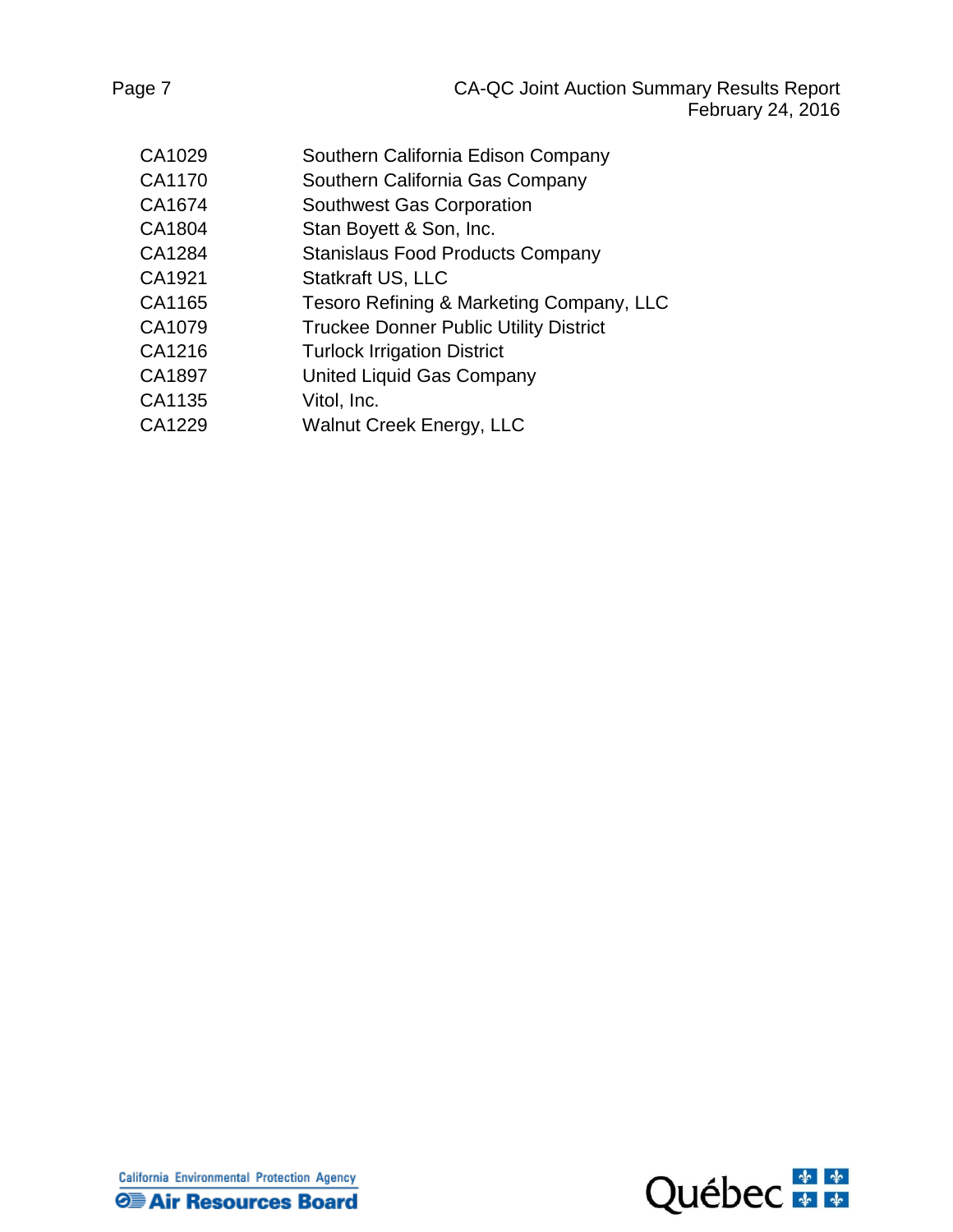| CA1029 | Southern California Edison Company            |
|--------|-----------------------------------------------|
| CA1170 | Southern California Gas Company               |
| CA1674 | <b>Southwest Gas Corporation</b>              |
| CA1804 | Stan Boyett & Son, Inc.                       |
| CA1284 | <b>Stanislaus Food Products Company</b>       |
| CA1921 | <b>Statkraft US, LLC</b>                      |
| CA1165 | Tesoro Refining & Marketing Company, LLC      |
| CA1079 | <b>Truckee Donner Public Utility District</b> |
| CA1216 | <b>Turlock Irrigation District</b>            |
| CA1897 | United Liquid Gas Company                     |
| CA1135 | Vitol, Inc.                                   |
| CA1229 | <b>Walnut Creek Energy, LLC</b>               |
|        |                                               |

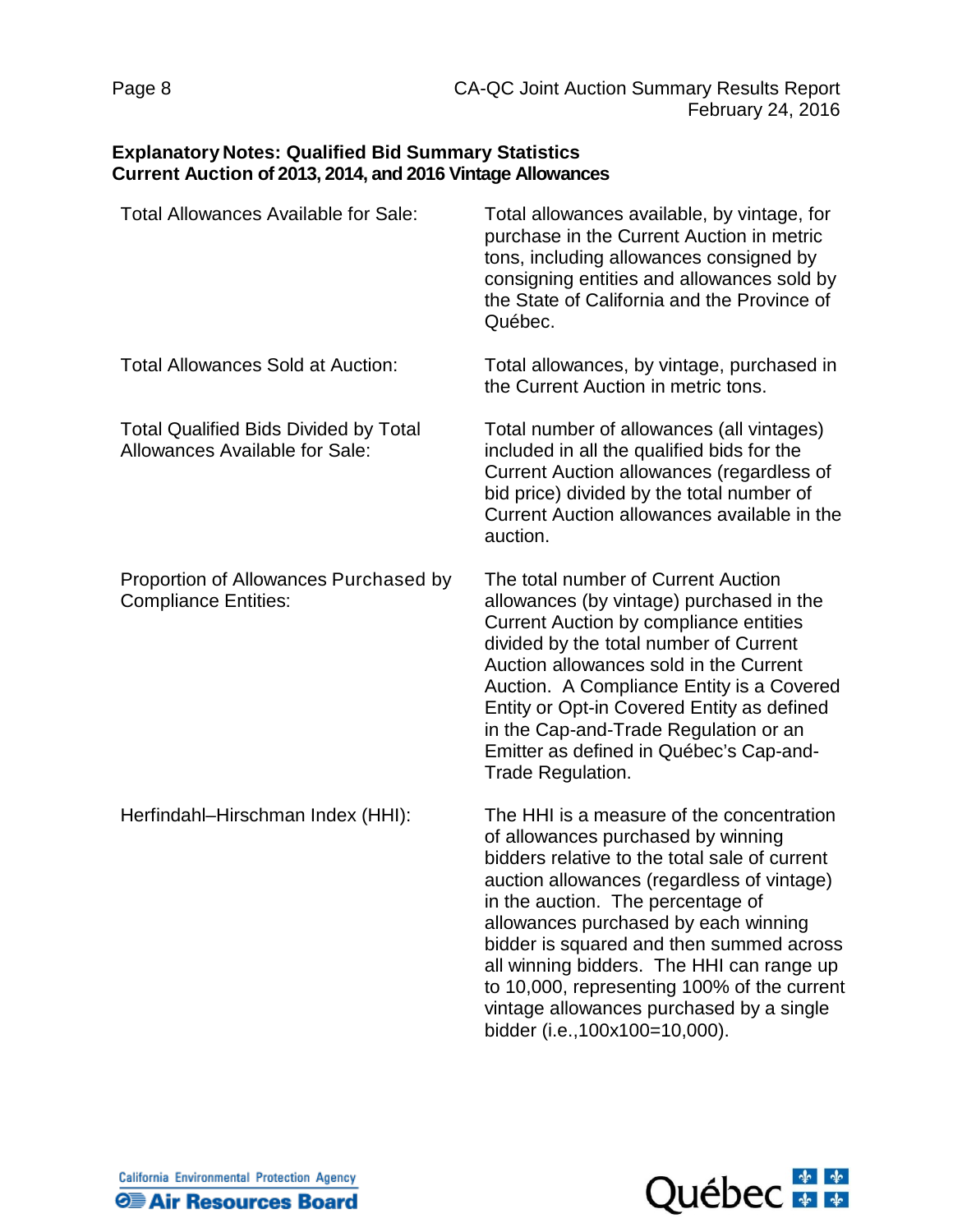# **Explanatory Notes: Qualified Bid Summary Statistics Current Auction of 2013, 2014, and 2016 Vintage Allowances**

| Total Allowances Available for Sale:                                           | Total allowances available, by vintage, for<br>purchase in the Current Auction in metric<br>tons, including allowances consigned by<br>consigning entities and allowances sold by<br>the State of California and the Province of<br>Québec.                                                                                                                                                                                                                                       |
|--------------------------------------------------------------------------------|-----------------------------------------------------------------------------------------------------------------------------------------------------------------------------------------------------------------------------------------------------------------------------------------------------------------------------------------------------------------------------------------------------------------------------------------------------------------------------------|
| <b>Total Allowances Sold at Auction:</b>                                       | Total allowances, by vintage, purchased in<br>the Current Auction in metric tons.                                                                                                                                                                                                                                                                                                                                                                                                 |
| <b>Total Qualified Bids Divided by Total</b><br>Allowances Available for Sale: | Total number of allowances (all vintages)<br>included in all the qualified bids for the<br>Current Auction allowances (regardless of<br>bid price) divided by the total number of<br>Current Auction allowances available in the<br>auction.                                                                                                                                                                                                                                      |
| Proportion of Allowances Purchased by<br><b>Compliance Entities:</b>           | The total number of Current Auction<br>allowances (by vintage) purchased in the<br><b>Current Auction by compliance entities</b><br>divided by the total number of Current<br>Auction allowances sold in the Current<br>Auction. A Compliance Entity is a Covered<br>Entity or Opt-in Covered Entity as defined<br>in the Cap-and-Trade Regulation or an<br>Emitter as defined in Québec's Cap-and-<br>Trade Regulation.                                                          |
| Herfindahl-Hirschman Index (HHI):                                              | The HHI is a measure of the concentration<br>of allowances purchased by winning<br>bidders relative to the total sale of current<br>auction allowances (regardless of vintage)<br>in the auction. The percentage of<br>allowances purchased by each winning<br>bidder is squared and then summed across<br>all winning bidders. The HHI can range up<br>to 10,000, representing 100% of the current<br>vintage allowances purchased by a single<br>bidder (i.e., 100x100=10,000). |